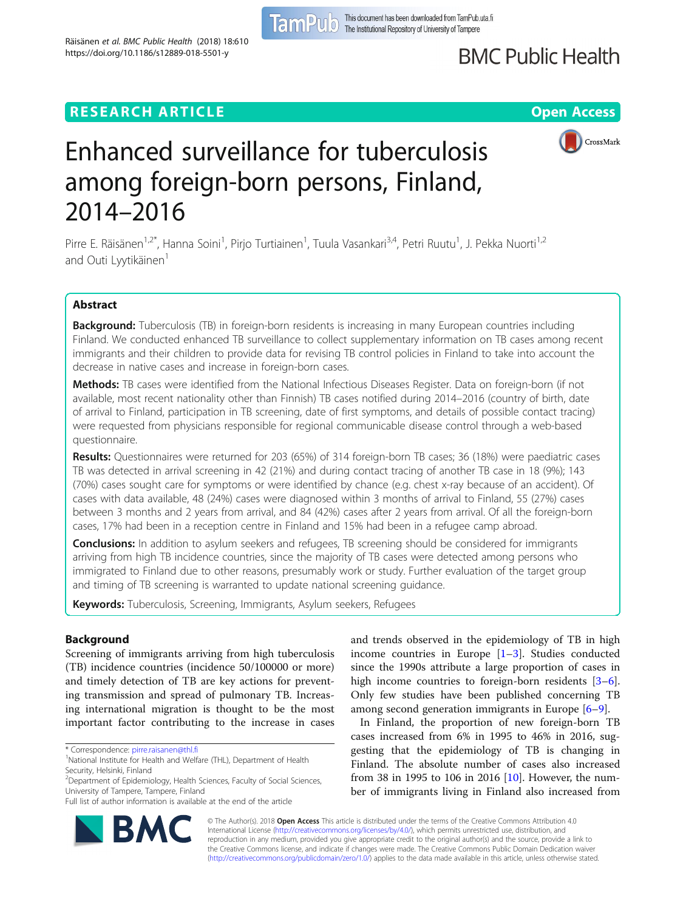# **BMC Public Health**

## **RESEARCH ARTICLE Example 2014 12:30 The Open Access**



CrossMark



Pirre E. Räisänen<sup>1,2\*</sup>, Hanna Soini<sup>1</sup>, Pirjo Turtiainen<sup>1</sup>, Tuula Vasankari<sup>3,4</sup>, Petri Ruutu<sup>1</sup>, J. Pekka Nuorti<sup>1,2</sup> and Outi Lyytikäinen<sup>1</sup>

## Abstract

Background: Tuberculosis (TB) in foreign-born residents is increasing in many European countries including Finland. We conducted enhanced TB surveillance to collect supplementary information on TB cases among recent immigrants and their children to provide data for revising TB control policies in Finland to take into account the decrease in native cases and increase in foreign-born cases.

Methods: TB cases were identified from the National Infectious Diseases Register. Data on foreign-born (if not available, most recent nationality other than Finnish) TB cases notified during 2014–2016 (country of birth, date of arrival to Finland, participation in TB screening, date of first symptoms, and details of possible contact tracing) were requested from physicians responsible for regional communicable disease control through a web-based questionnaire.

Results: Questionnaires were returned for 203 (65%) of 314 foreign-born TB cases; 36 (18%) were paediatric cases TB was detected in arrival screening in 42 (21%) and during contact tracing of another TB case in 18 (9%); 143 (70%) cases sought care for symptoms or were identified by chance (e.g. chest x-ray because of an accident). Of cases with data available, 48 (24%) cases were diagnosed within 3 months of arrival to Finland, 55 (27%) cases between 3 months and 2 years from arrival, and 84 (42%) cases after 2 years from arrival. Of all the foreign-born cases, 17% had been in a reception centre in Finland and 15% had been in a refugee camp abroad.

**Conclusions:** In addition to asylum seekers and refugees, TB screening should be considered for immigrants arriving from high TB incidence countries, since the majority of TB cases were detected among persons who immigrated to Finland due to other reasons, presumably work or study. Further evaluation of the target group and timing of TB screening is warranted to update national screening guidance.

Keywords: Tuberculosis, Screening, Immigrants, Asylum seekers, Refugees

## Background

Screening of immigrants arriving from high tuberculosis (TB) incidence countries (incidence 50/100000 or more) and timely detection of TB are key actions for preventing transmission and spread of pulmonary TB. Increasing international migration is thought to be the most important factor contributing to the increase in cases

<sup>2</sup>Department of Epidemiology, Health Sciences, Faculty of Social Sciences, University of Tampere, Tampere, Finland



In Finland, the proportion of new foreign-born TB cases increased from 6% in 1995 to 46% in 2016, suggesting that the epidemiology of TB is changing in Finland. The absolute number of cases also increased from 38 in 1995 to 106 in 2016 [[10](#page-4-0)]. However, the number of immigrants living in Finland also increased from



© The Author(s). 2018 Open Access This article is distributed under the terms of the Creative Commons Attribution 4.0 International License [\(http://creativecommons.org/licenses/by/4.0/](http://creativecommons.org/licenses/by/4.0/)), which permits unrestricted use, distribution, and reproduction in any medium, provided you give appropriate credit to the original author(s) and the source, provide a link to the Creative Commons license, and indicate if changes were made. The Creative Commons Public Domain Dedication waiver [\(http://creativecommons.org/publicdomain/zero/1.0/](http://creativecommons.org/publicdomain/zero/1.0/)) applies to the data made available in this article, unless otherwise stated.

<sup>\*</sup> Correspondence: [pirre.raisanen@thl.fi](mailto:pirre.raisanen@thl.fi) <sup>1</sup>

<sup>&</sup>lt;sup>1</sup>National Institute for Health and Welfare (THL), Department of Health Security, Helsinki, Finland

Full list of author information is available at the end of the article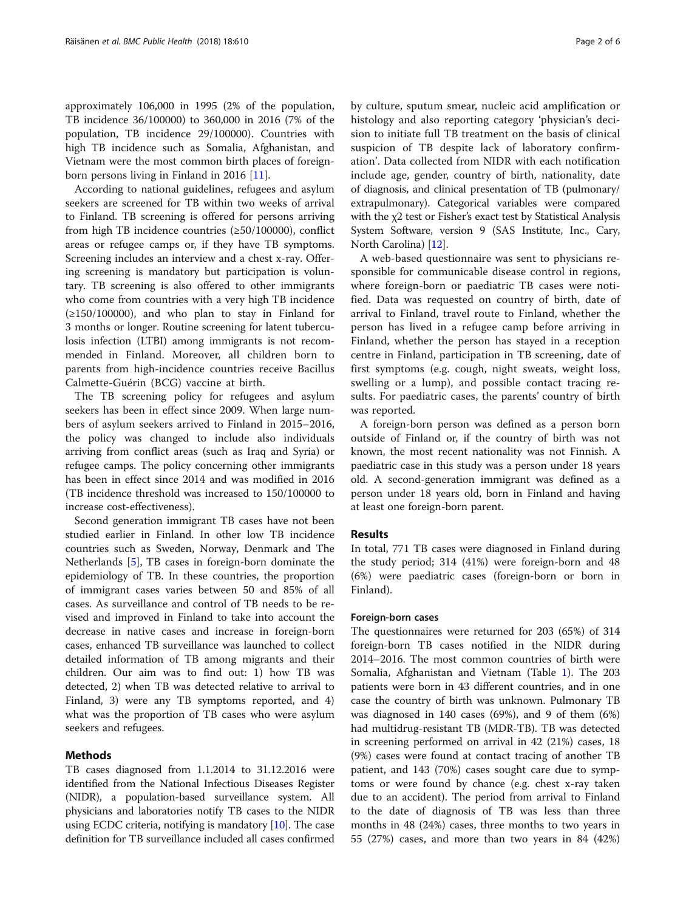approximately 106,000 in 1995 (2% of the population, TB incidence 36/100000) to 360,000 in 2016 (7% of the population, TB incidence 29/100000). Countries with high TB incidence such as Somalia, Afghanistan, and Vietnam were the most common birth places of foreignborn persons living in Finland in 2016 [[11\]](#page-4-0).

According to national guidelines, refugees and asylum seekers are screened for TB within two weeks of arrival to Finland. TB screening is offered for persons arriving from high TB incidence countries (≥50/100000), conflict areas or refugee camps or, if they have TB symptoms. Screening includes an interview and a chest x-ray. Offering screening is mandatory but participation is voluntary. TB screening is also offered to other immigrants who come from countries with a very high TB incidence (≥150/100000), and who plan to stay in Finland for 3 months or longer. Routine screening for latent tuberculosis infection (LTBI) among immigrants is not recommended in Finland. Moreover, all children born to parents from high-incidence countries receive Bacillus Calmette-Guérin (BCG) vaccine at birth.

The TB screening policy for refugees and asylum seekers has been in effect since 2009. When large numbers of asylum seekers arrived to Finland in 2015–2016, the policy was changed to include also individuals arriving from conflict areas (such as Iraq and Syria) or refugee camps. The policy concerning other immigrants has been in effect since 2014 and was modified in 2016 (TB incidence threshold was increased to 150/100000 to increase cost-effectiveness).

Second generation immigrant TB cases have not been studied earlier in Finland. In other low TB incidence countries such as Sweden, Norway, Denmark and The Netherlands [\[5](#page-4-0)], TB cases in foreign-born dominate the epidemiology of TB. In these countries, the proportion of immigrant cases varies between 50 and 85% of all cases. As surveillance and control of TB needs to be revised and improved in Finland to take into account the decrease in native cases and increase in foreign-born cases, enhanced TB surveillance was launched to collect detailed information of TB among migrants and their children. Our aim was to find out: 1) how TB was detected, 2) when TB was detected relative to arrival to Finland, 3) were any TB symptoms reported, and 4) what was the proportion of TB cases who were asylum seekers and refugees.

## Methods

TB cases diagnosed from 1.1.2014 to 31.12.2016 were identified from the National Infectious Diseases Register (NIDR), a population-based surveillance system. All physicians and laboratories notify TB cases to the NIDR using ECDC criteria, notifying is mandatory [[10](#page-4-0)]. The case definition for TB surveillance included all cases confirmed

by culture, sputum smear, nucleic acid amplification or histology and also reporting category 'physician's decision to initiate full TB treatment on the basis of clinical suspicion of TB despite lack of laboratory confirmation'. Data collected from NIDR with each notification include age, gender, country of birth, nationality, date of diagnosis, and clinical presentation of TB (pulmonary/ extrapulmonary). Categorical variables were compared with the χ2 test or Fisher's exact test by Statistical Analysis System Software, version 9 (SAS Institute, Inc., Cary, North Carolina) [[12](#page-4-0)].

A web-based questionnaire was sent to physicians responsible for communicable disease control in regions, where foreign-born or paediatric TB cases were notified. Data was requested on country of birth, date of arrival to Finland, travel route to Finland, whether the person has lived in a refugee camp before arriving in Finland, whether the person has stayed in a reception centre in Finland, participation in TB screening, date of first symptoms (e.g. cough, night sweats, weight loss, swelling or a lump), and possible contact tracing results. For paediatric cases, the parents' country of birth was reported.

A foreign-born person was defined as a person born outside of Finland or, if the country of birth was not known, the most recent nationality was not Finnish. A paediatric case in this study was a person under 18 years old. A second-generation immigrant was defined as a person under 18 years old, born in Finland and having at least one foreign-born parent.

## Results

In total, 771 TB cases were diagnosed in Finland during the study period; 314 (41%) were foreign-born and 48 (6%) were paediatric cases (foreign-born or born in Finland).

## Foreign-born cases

The questionnaires were returned for 203 (65%) of 314 foreign-born TB cases notified in the NIDR during 2014–2016. The most common countries of birth were Somalia, Afghanistan and Vietnam (Table [1\)](#page-2-0). The 203 patients were born in 43 different countries, and in one case the country of birth was unknown. Pulmonary TB was diagnosed in 140 cases (69%), and 9 of them (6%) had multidrug-resistant TB (MDR-TB). TB was detected in screening performed on arrival in 42 (21%) cases, 18 (9%) cases were found at contact tracing of another TB patient, and 143 (70%) cases sought care due to symptoms or were found by chance (e.g. chest x-ray taken due to an accident). The period from arrival to Finland to the date of diagnosis of TB was less than three months in 48 (24%) cases, three months to two years in 55 (27%) cases, and more than two years in 84 (42%)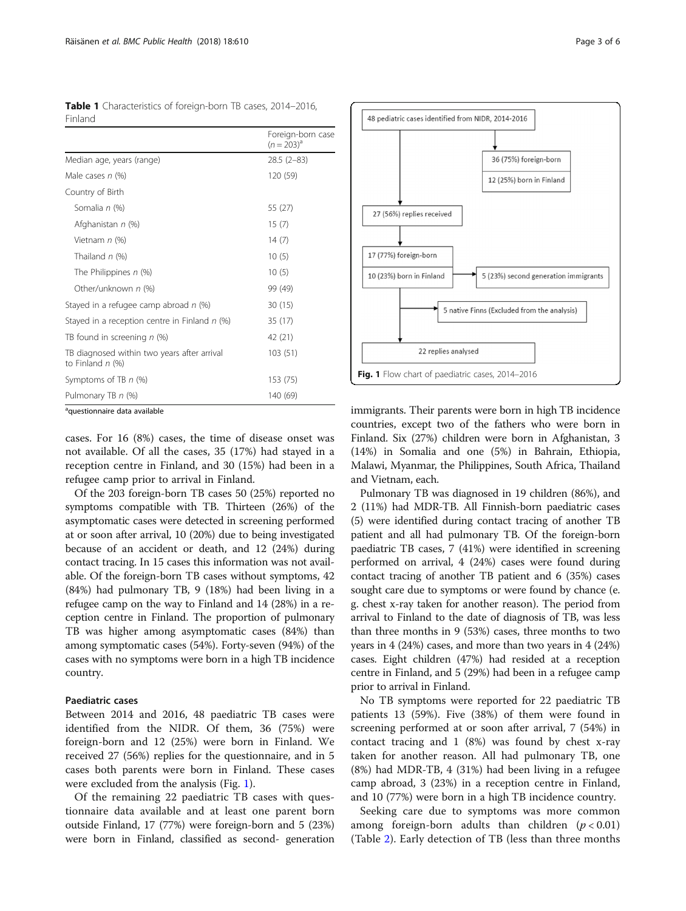<span id="page-2-0"></span>

|         | Table 1 Characteristics of foreign-born TB cases, 2014-2016, |  |  |
|---------|--------------------------------------------------------------|--|--|
| Finland |                                                              |  |  |

|                                                                   | Foreign-born case<br>$(n = 203)^{a}$ |  |
|-------------------------------------------------------------------|--------------------------------------|--|
| Median age, years (range)                                         | $28.5(2-83)$                         |  |
| Male cases $n$ (%)                                                | 120 (59)                             |  |
| Country of Birth                                                  |                                      |  |
| Somalia n (%)                                                     | 55 (27)                              |  |
| Afghanistan n (%)                                                 | 15(7)                                |  |
| Vietnam n (%)                                                     | 14(7)                                |  |
| Thailand $n$ (%)                                                  | 10(5)                                |  |
| The Philippines n (%)                                             | 10(5)                                |  |
| Other/unknown n (%)                                               | 99 (49)                              |  |
| Stayed in a refugee camp abroad $n$ (%)                           | 30(15)                               |  |
| Stayed in a reception centre in Finland $n$ (%)                   | 35 (17)                              |  |
| TB found in screening n (%)                                       | 42 (21)                              |  |
| TB diagnosed within two years after arrival<br>to Finland $n$ (%) | 103(51)                              |  |
| Symptoms of TB n (%)                                              | 153 (75)                             |  |
| Pulmonary TB n (%)                                                | 140 (69)                             |  |

<sup>a</sup>questionnaire data available

cases. For 16 (8%) cases, the time of disease onset was not available. Of all the cases, 35 (17%) had stayed in a reception centre in Finland, and 30 (15%) had been in a refugee camp prior to arrival in Finland.

Of the 203 foreign-born TB cases 50 (25%) reported no symptoms compatible with TB. Thirteen (26%) of the asymptomatic cases were detected in screening performed at or soon after arrival, 10 (20%) due to being investigated because of an accident or death, and 12 (24%) during contact tracing. In 15 cases this information was not available. Of the foreign-born TB cases without symptoms, 42 (84%) had pulmonary TB, 9 (18%) had been living in a refugee camp on the way to Finland and 14 (28%) in a reception centre in Finland. The proportion of pulmonary TB was higher among asymptomatic cases (84%) than among symptomatic cases (54%). Forty-seven (94%) of the cases with no symptoms were born in a high TB incidence country.

## Paediatric cases

Between 2014 and 2016, 48 paediatric TB cases were identified from the NIDR. Of them, 36 (75%) were foreign-born and 12 (25%) were born in Finland. We received 27 (56%) replies for the questionnaire, and in 5 cases both parents were born in Finland. These cases were excluded from the analysis (Fig. 1).

Of the remaining 22 paediatric TB cases with questionnaire data available and at least one parent born outside Finland, 17 (77%) were foreign-born and 5 (23%) were born in Finland, classified as second- generation



immigrants. Their parents were born in high TB incidence countries, except two of the fathers who were born in Finland. Six (27%) children were born in Afghanistan, 3 (14%) in Somalia and one (5%) in Bahrain, Ethiopia, Malawi, Myanmar, the Philippines, South Africa, Thailand and Vietnam, each.

Pulmonary TB was diagnosed in 19 children (86%), and 2 (11%) had MDR-TB. All Finnish-born paediatric cases (5) were identified during contact tracing of another TB patient and all had pulmonary TB. Of the foreign-born paediatric TB cases, 7 (41%) were identified in screening performed on arrival, 4 (24%) cases were found during contact tracing of another TB patient and 6 (35%) cases sought care due to symptoms or were found by chance (e. g. chest x-ray taken for another reason). The period from arrival to Finland to the date of diagnosis of TB, was less than three months in 9 (53%) cases, three months to two years in 4 (24%) cases, and more than two years in 4 (24%) cases. Eight children (47%) had resided at a reception centre in Finland, and 5 (29%) had been in a refugee camp prior to arrival in Finland.

No TB symptoms were reported for 22 paediatric TB patients 13 (59%). Five (38%) of them were found in screening performed at or soon after arrival, 7 (54%) in contact tracing and 1 (8%) was found by chest x-ray taken for another reason. All had pulmonary TB, one (8%) had MDR-TB, 4 (31%) had been living in a refugee camp abroad, 3 (23%) in a reception centre in Finland, and 10 (77%) were born in a high TB incidence country.

Seeking care due to symptoms was more common among foreign-born adults than children  $(p < 0.01)$ (Table [2\)](#page-3-0). Early detection of TB (less than three months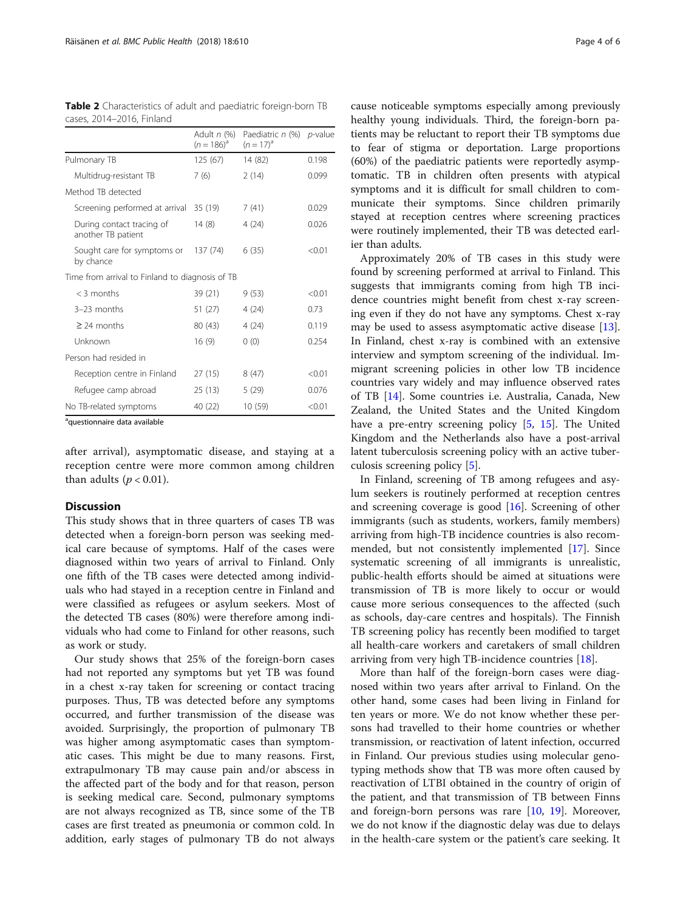| CUJCJ, ZVIT ZVIV, I INIUNIU                     | Adult n (%)<br>$(n = 186)^{a}$ | Paediatric n (%) p-value<br>$(n = 17)^{a}$ |        |
|-------------------------------------------------|--------------------------------|--------------------------------------------|--------|
| Pulmonary TB                                    | 125(67)                        | 14 (82)                                    | 0.198  |
| Multidrug-resistant TB                          | 7(6)                           | 2(14)                                      | 0.099  |
| Method TB detected                              |                                |                                            |        |
| Screening performed at arrival                  | 35 (19)                        | 7(41)                                      | 0.029  |
| During contact tracing of<br>another TB patient | 14(8)                          | 4(24)                                      | 0.026  |
| Sought care for symptoms or<br>by chance        | 137 (74)                       | 6(35)                                      | < 0.01 |
| Time from arrival to Finland to diagnosis of TB |                                |                                            |        |
| $<$ 3 months                                    | 39 (21)                        | 9(53)                                      | < 0.01 |
| $3-23$ months                                   | 51 (27)                        | 4(24)                                      | 0.73   |
| $\geq$ 24 months                                | 80 (43)                        | 4(24)                                      | 0.119  |
| Unknown                                         | 16(9)                          | 0(0)                                       | 0.254  |
| Person had resided in                           |                                |                                            |        |
| Reception centre in Finland                     | 27(15)                         | 8(47)                                      | < 0.01 |
| Refugee camp abroad                             | 25(13)                         | 5(29)                                      | 0.076  |
| No TB-related symptoms                          | 40 (22)                        | 10 (59)                                    | < 0.01 |

<span id="page-3-0"></span>Table 2 Characteristics of adult and paediatric foreign-born TB cases, 2014–2016, Finland

<sup>a</sup>questionnaire data available

after arrival), asymptomatic disease, and staying at a reception centre were more common among children than adults ( $p < 0.01$ ).

## **Discussion**

This study shows that in three quarters of cases TB was detected when a foreign-born person was seeking medical care because of symptoms. Half of the cases were diagnosed within two years of arrival to Finland. Only one fifth of the TB cases were detected among individuals who had stayed in a reception centre in Finland and were classified as refugees or asylum seekers. Most of the detected TB cases (80%) were therefore among individuals who had come to Finland for other reasons, such as work or study.

Our study shows that 25% of the foreign-born cases had not reported any symptoms but yet TB was found in a chest x-ray taken for screening or contact tracing purposes. Thus, TB was detected before any symptoms occurred, and further transmission of the disease was avoided. Surprisingly, the proportion of pulmonary TB was higher among asymptomatic cases than symptomatic cases. This might be due to many reasons. First, extrapulmonary TB may cause pain and/or abscess in the affected part of the body and for that reason, person is seeking medical care. Second, pulmonary symptoms are not always recognized as TB, since some of the TB cases are first treated as pneumonia or common cold. In addition, early stages of pulmonary TB do not always

cause noticeable symptoms especially among previously healthy young individuals. Third, the foreign-born patients may be reluctant to report their TB symptoms due to fear of stigma or deportation. Large proportions (60%) of the paediatric patients were reportedly asymptomatic. TB in children often presents with atypical symptoms and it is difficult for small children to communicate their symptoms. Since children primarily stayed at reception centres where screening practices were routinely implemented, their TB was detected earlier than adults.

Approximately 20% of TB cases in this study were found by screening performed at arrival to Finland. This suggests that immigrants coming from high TB incidence countries might benefit from chest x-ray screening even if they do not have any symptoms. Chest x-ray may be used to assess asymptomatic active disease [\[13](#page-5-0)]. In Finland, chest x-ray is combined with an extensive interview and symptom screening of the individual. Immigrant screening policies in other low TB incidence countries vary widely and may influence observed rates of TB [\[14](#page-5-0)]. Some countries i.e. Australia, Canada, New Zealand, the United States and the United Kingdom have a pre-entry screening policy [\[5,](#page-4-0) [15](#page-5-0)]. The United Kingdom and the Netherlands also have a post-arrival latent tuberculosis screening policy with an active tuberculosis screening policy [\[5](#page-4-0)].

In Finland, screening of TB among refugees and asylum seekers is routinely performed at reception centres and screening coverage is good  $[16]$  $[16]$ . Screening of other immigrants (such as students, workers, family members) arriving from high-TB incidence countries is also recommended, but not consistently implemented [[17\]](#page-5-0). Since systematic screening of all immigrants is unrealistic, public-health efforts should be aimed at situations were transmission of TB is more likely to occur or would cause more serious consequences to the affected (such as schools, day-care centres and hospitals). The Finnish TB screening policy has recently been modified to target all health-care workers and caretakers of small children arriving from very high TB-incidence countries [[18\]](#page-5-0).

More than half of the foreign-born cases were diagnosed within two years after arrival to Finland. On the other hand, some cases had been living in Finland for ten years or more. We do not know whether these persons had travelled to their home countries or whether transmission, or reactivation of latent infection, occurred in Finland. Our previous studies using molecular genotyping methods show that TB was more often caused by reactivation of LTBI obtained in the country of origin of the patient, and that transmission of TB between Finns and foreign-born persons was rare [[10](#page-4-0), [19](#page-5-0)]. Moreover, we do not know if the diagnostic delay was due to delays in the health-care system or the patient's care seeking. It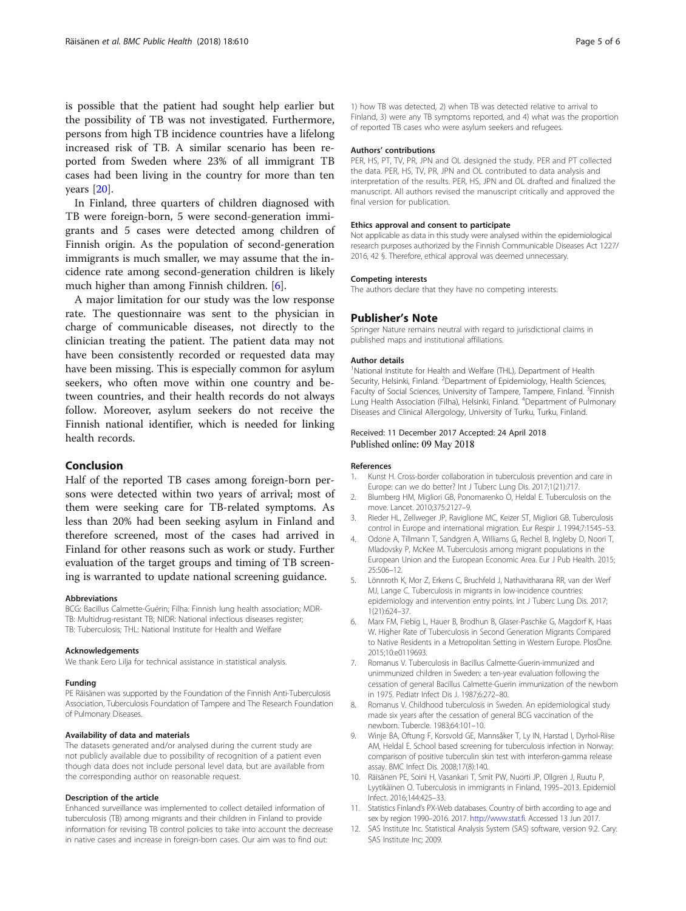<span id="page-4-0"></span>is possible that the patient had sought help earlier but the possibility of TB was not investigated. Furthermore, persons from high TB incidence countries have a lifelong increased risk of TB. A similar scenario has been reported from Sweden where 23% of all immigrant TB cases had been living in the country for more than ten years [\[20](#page-5-0)].

In Finland, three quarters of children diagnosed with TB were foreign-born, 5 were second-generation immigrants and 5 cases were detected among children of Finnish origin. As the population of second-generation immigrants is much smaller, we may assume that the incidence rate among second-generation children is likely much higher than among Finnish children. [6].

A major limitation for our study was the low response rate. The questionnaire was sent to the physician in charge of communicable diseases, not directly to the clinician treating the patient. The patient data may not have been consistently recorded or requested data may have been missing. This is especially common for asylum seekers, who often move within one country and between countries, and their health records do not always follow. Moreover, asylum seekers do not receive the Finnish national identifier, which is needed for linking health records.

## Conclusion

Half of the reported TB cases among foreign-born persons were detected within two years of arrival; most of them were seeking care for TB-related symptoms. As less than 20% had been seeking asylum in Finland and therefore screened, most of the cases had arrived in Finland for other reasons such as work or study. Further evaluation of the target groups and timing of TB screening is warranted to update national screening guidance.

#### Abbreviations

BCG: Bacillus Calmette-Guérin; Filha: Finnish lung health association; MDR-TB: Multidrug-resistant TB; NIDR: National infectious diseases register; TB: Tuberculosis; THL: National Institute for Health and Welfare

#### Acknowledgements

We thank Eero Lilja for technical assistance in statistical analysis.

## Funding

PE Räisänen was supported by the Foundation of the Finnish Anti-Tuberculosis Association, Tuberculosis Foundation of Tampere and The Research Foundation of Pulmonary Diseases.

## Availability of data and materials

The datasets generated and/or analysed during the current study are not publicly available due to possibility of recognition of a patient even though data does not include personal level data, but are available from the corresponding author on reasonable request.

## Description of the article

Enhanced surveillance was implemented to collect detailed information of tuberculosis (TB) among migrants and their children in Finland to provide information for revising TB control policies to take into account the decrease in native cases and increase in foreign-born cases. Our aim was to find out:

1) how TB was detected, 2) when TB was detected relative to arrival to Finland, 3) were any TB symptoms reported, and 4) what was the proportion of reported TB cases who were asylum seekers and refugees.

## Authors' contributions

PER, HS, PT, TV, PR, JPN and OL designed the study. PER and PT collected the data. PER, HS, TV, PR, JPN and OL contributed to data analysis and interpretation of the results. PER, HS, JPN and OL drafted and finalized the manuscript. All authors revised the manuscript critically and approved the final version for publication.

## Ethics approval and consent to participate

Not applicable as data in this study were analysed within the epidemiological research purposes authorized by the Finnish Communicable Diseases Act 1227/ 2016, 42 §. Therefore, ethical approval was deemed unnecessary.

## Competing interests

The authors declare that they have no competing interests.

## Publisher's Note

Springer Nature remains neutral with regard to jurisdictional claims in published maps and institutional affiliations.

#### Author details

<sup>1</sup>National Institute for Health and Welfare (THL), Department of Health Security, Helsinki, Finland. <sup>2</sup>Department of Epidemiology, Health Sciences, Faculty of Social Sciences, University of Tampere, Tampere, Finland. <sup>3</sup>Finnish Lung Health Association (Filha), Helsinki, Finland. <sup>4</sup>Department of Pulmonary Diseases and Clinical Allergology, University of Turku, Turku, Finland.

## Received: 11 December 2017 Accepted: 24 April 2018 Published online: 09 May 2018

#### References

- 1. Kunst H. Cross-border collaboration in tuberculosis prevention and care in Europe: can we do better? Int J Tuberc Lung Dis. 2017;1(21):717.
- 2. Blumberg HM, Migliori GB, Ponomarenko O, Heldal E. Tuberculosis on the move. Lancet. 2010;375:2127–9.
- 3. Rieder HL, Zellweger JP, Raviglione MC, Keizer ST, Migliori GB. Tuberculosis control in Europe and international migration. Eur Respir J. 1994;7:1545–53.
- 4. Odone A, Tillmann T, Sandgren A, Williams G, Rechel B, Ingleby D, Noori T, Mladovsky P, McKee M. Tuberculosis among migrant populations in the European Union and the European Economic Area. Eur J Pub Health. 2015; 25:506–12.
- 5. Lönnroth K, Mor Z, Erkens C, Bruchfeld J, Nathavitharana RR, van der Werf MJ, Lange C. Tuberculosis in migrants in low-incidence countries: epidemiology and intervention entry points. Int J Tuberc Lung Dis. 2017; 1(21):624–37.
- 6. Marx FM, Fiebig L, Hauer B, Brodhun B, Glaser-Paschke G, Magdorf K, Haas W. Higher Rate of Tuberculosis in Second Generation Migrants Compared to Native Residents in a Metropolitan Setting in Western Europe. PlosOne. 2015;10:e0119693.
- 7. Romanus V. Tuberculosis in Bacillus Calmette-Guerin-immunized and unimmunized children in Sweden: a ten-year evaluation following the cessation of general Bacillus Calmette-Guerin immunization of the newborn in 1975. Pediatr Infect Dis J. 1987;6:272–80.
- 8. Romanus V. Childhood tuberculosis in Sweden. An epidemiological study made six years after the cessation of general BCG vaccination of the newborn. Tubercle. 1983;64:101–10.
- 9. Winje BA, Oftung F, Korsvold GE, Mannsåker T, Ly IN, Harstad I, Dyrhol-Riise AM, Heldal E. School based screening for tuberculosis infection in Norway: comparison of positive tuberculin skin test with interferon-gamma release assay. BMC Infect Dis. 2008;17(8):140.
- 10. Räisänen PE, Soini H, Vasankari T, Smit PW, Nuorti JP, Ollgren J, Ruutu P, Lyytikäinen O. Tuberculosis in immigrants in Finland, 1995–2013. Epidemiol Infect. 2016;144:425–33.
- 11. Statistics Finland's PX-Web databases. Country of birth according to age and sex by region 1990–2016. 2017. [http://www.stat.fi.](http://www.stat.fi) Accessed 13 Jun 2017.
- 12. SAS Institute Inc. Statistical Analysis System (SAS) software, version 9.2. Cary: SAS Institute Inc; 2009.